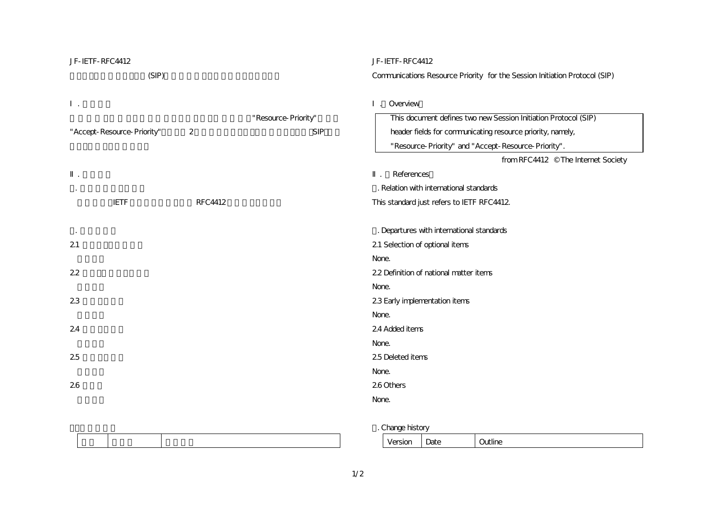| JF-IETF-RFC4412            |                |                     | JF-IETF-RFC4412                                                             |  |  |  |
|----------------------------|----------------|---------------------|-----------------------------------------------------------------------------|--|--|--|
| (SIP)                      |                |                     | Communications Resource Priority for the Session Initiation Protocol (SIP)  |  |  |  |
|                            |                | "Resource-Priority" | Overview<br>This document defines two new Session Initiation Protocol (SIP) |  |  |  |
| "Accept-Resource-Priority" | 2              | <b>SIP</b>          | header fields for communicating resource priority, namely,                  |  |  |  |
|                            |                |                     | "Resource-Priority" and "Accept-Resource-Priority".                         |  |  |  |
|                            |                |                     | from RFC4412 © The Internet Society                                         |  |  |  |
|                            |                |                     | References                                                                  |  |  |  |
|                            |                |                     | . Relation with international standards                                     |  |  |  |
| <b>IETF</b>                | <b>RFC4412</b> |                     | This standard just refers to IETF RFC4412                                   |  |  |  |
|                            |                |                     |                                                                             |  |  |  |
|                            |                |                     | . Departures with international standards                                   |  |  |  |
| 21                         |                |                     | 21 Selection of optional items                                              |  |  |  |
|                            |                |                     | None.                                                                       |  |  |  |
| 22                         |                |                     | 22 Definition of national matter items                                      |  |  |  |
|                            |                |                     | None.                                                                       |  |  |  |
| 23                         |                |                     | 23 Early implementation items                                               |  |  |  |
|                            |                |                     | None.                                                                       |  |  |  |
| 24                         |                |                     | 24 Added items                                                              |  |  |  |
|                            |                |                     | None.                                                                       |  |  |  |
| 25                         |                |                     | 25 Deleted items                                                            |  |  |  |
|                            |                |                     | None.                                                                       |  |  |  |
| 26                         |                |                     | 26 Others                                                                   |  |  |  |
|                            |                |                     | None.                                                                       |  |  |  |
|                            |                |                     |                                                                             |  |  |  |

| . Change history |
|------------------|
|------------------|

|                 | . .           |        |
|-----------------|---------------|--------|
| -------<br>---- | .<br>⋯<br>sau | ------ |